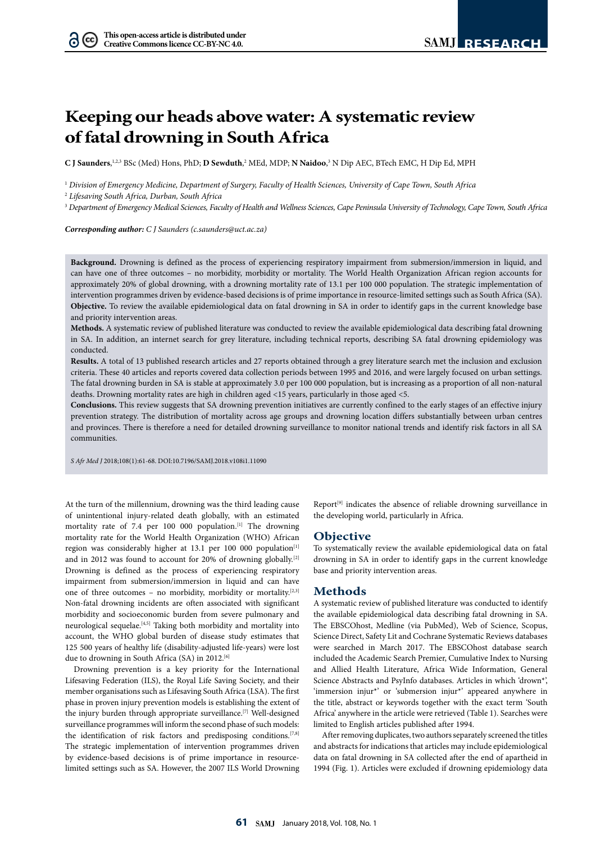# **Keeping our heads above water: A systematic review of fatal drowning in South Africa**

**C J Saunders**, 1,2,3 BSc (Med) Hons, PhD; **D Sewduth**, 2 MEd, MDP; **N Naidoo**, 3 N Dip AEC, BTech EMC, H Dip Ed, MPH

<sup>1</sup> *Division of Emergency Medicine, Department of Surgery, Faculty of Health Sciences, University of Cape Town, South Africa*

<sup>2</sup> *Lifesaving South Africa, Durban, South Africa*

 $(cc)$ 

<sup>3</sup> *Department of Emergency Medical Sciences, Faculty of Health and Wellness Sciences, Cape Peninsula University of Technology, Cape Town, South Africa*

*Corresponding author: C J Saunders (c.saunders@uct.ac.za)*

**Background.** Drowning is defined as the process of experiencing respiratory impairment from submersion/immersion in liquid, and can have one of three outcomes – no morbidity, morbidity or mortality. The World Health Organization African region accounts for approximately 20% of global drowning, with a drowning mortality rate of 13.1 per 100 000 population. The strategic implementation of intervention programmes driven by evidence-based decisions is of prime importance in resource-limited settings such as South Africa (SA). **Objective.** To review the available epidemiological data on fatal drowning in SA in order to identify gaps in the current knowledge base and priority intervention areas.

**Methods.** A systematic review of published literature was conducted to review the available epidemiological data describing fatal drowning in SA. In addition, an internet search for grey literature, including technical reports, describing SA fatal drowning epidemiology was conducted.

**Results.** A total of 13 published research articles and 27 reports obtained through a grey literature search met the inclusion and exclusion criteria. These 40 articles and reports covered data collection periods between 1995 and 2016, and were largely focused on urban settings. The fatal drowning burden in SA is stable at approximately 3.0 per 100 000 population, but is increasing as a proportion of all non-natural deaths. Drowning mortality rates are high in children aged <15 years, particularly in those aged <5.

**Conclusions.** This review suggests that SA drowning prevention initiatives are currently confined to the early stages of an effective injury prevention strategy. The distribution of mortality across age groups and drowning location differs substantially between urban centres and provinces. There is therefore a need for detailed drowning surveillance to monitor national trends and identify risk factors in all SA communities.

*S Afr Med J* 2018;108(1):61-68. DOI:10.7196/SAMJ.2018.v108i1.11090

At the turn of the millennium, drowning was the third leading cause of unintentional injury-related death globally, with an estimated mortality rate of 7.4 per 100 000 population.[1] The drowning mortality rate for the World Health Organization (WHO) African region was considerably higher at 13.1 per 100 000 population<sup>[1]</sup> and in 2012 was found to account for 20% of drowning globally.<sup>[2]</sup> Drowning is defined as the process of experiencing respiratory impairment from submersion/immersion in liquid and can have one of three outcomes – no morbidity, morbidity or mortality.[2,3] Non-fatal drowning incidents are often associated with significant morbidity and socioeconomic burden from severe pulmonary and neurological sequelae.[4,5] Taking both morbidity and mortality into account, the WHO global burden of disease study estimates that 125 500 years of healthy life (disability-adjusted life-years) were lost due to drowning in South Africa (SA) in 2012.<sup>[6]</sup>

Drowning prevention is a key priority for the International Lifesaving Federation (ILS), the Royal Life Saving Society, and their member organisations such as Lifesaving South Africa (LSA). The first phase in proven injury prevention models is establishing the extent of the injury burden through appropriate surveillance.[7] Well-designed surveillance programmes will inform the second phase of such models: the identification of risk factors and predisposing conditions.<sup>[7,8]</sup> The strategic implementation of intervention programmes driven by evidence-based decisions is of prime importance in resourcelimited settings such as SA. However, the 2007 ILS World Drowning

Report<sup>[9]</sup> indicates the absence of reliable drowning surveillance in the developing world, particularly in Africa.

# **Objective**

To systematically review the available epidemiological data on fatal drowning in SA in order to identify gaps in the current knowledge base and priority intervention areas.

# **Methods**

A systematic review of published literature was conducted to identify the available epidemiological data describing fatal drowning in SA. The EBSCOhost, Medline (via PubMed), Web of Science, Scopus, Science Direct, Safety Lit and Cochrane Systematic Reviews databases were searched in March 2017. The EBSCOhost database search included the Academic Search Premier, Cumulative Index to Nursing and Allied Health Literature, Africa Wide Information, General Science Abstracts and PsyInfo databases. Articles in which 'drown\*', 'immersion injur\*' or 'submersion injur\*' appeared anywhere in the title, abstract or keywords together with the exact term 'South Africa' anywhere in the article were retrieved (Table 1). Searches were limited to English articles published after 1994.

After removing duplicates, two authors separately screened the titles and abstracts for indications that articles may include epidemiological data on fatal drowning in SA collected after the end of apartheid in 1994 (Fig. 1). Articles were excluded if drowning epidemiology data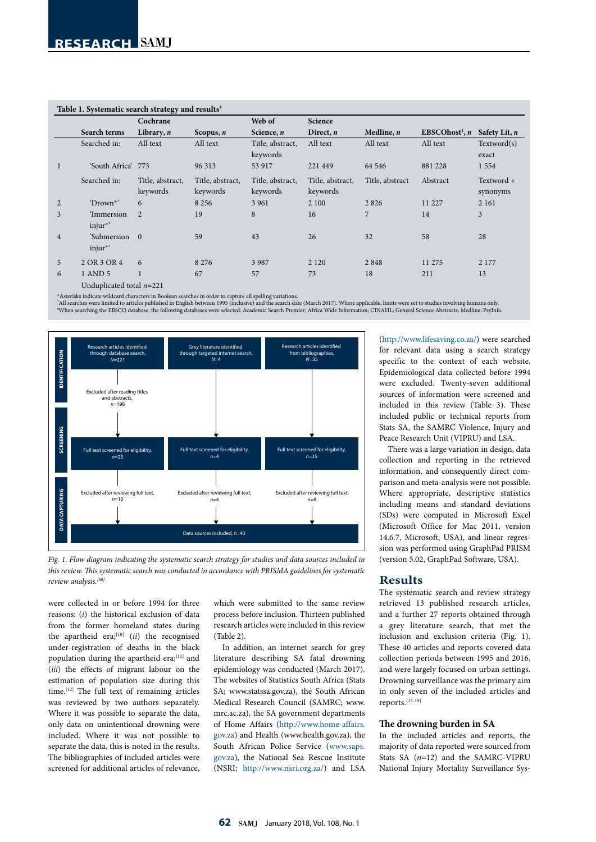|                |                            | Cochrane                     |                              | Web of                       | Science                      |                 |                                                       |                        |
|----------------|----------------------------|------------------------------|------------------------------|------------------------------|------------------------------|-----------------|-------------------------------------------------------|------------------------|
|                | Search terms               | Library, $n$                 | Scopus, $n$                  | Science, n                   | Direct, $n$                  | Medline, $n$    | EBSCOhost <sup><math>\ddagger</math></sup> , <i>n</i> | Safety Lit, n          |
|                | Searched in:               | All text                     | All text                     | Title, abstract,<br>keywords | All text                     | All text        | All text                                              | Textword(s)<br>exact   |
|                | 'South Africa' 773         |                              | 96 313                       | 53 917                       | 221 449                      | 64 54 6         | 881 228                                               | 1554                   |
|                | Searched in:               | Title, abstract,<br>keywords | Title, abstract,<br>keywords | Title, abstract,<br>keywords | Title, abstract,<br>keywords | Title, abstract | Abstract                                              | Textword +<br>synonyms |
| $\overline{2}$ | 'Drown <sup>*'</sup>       | 6                            | 8 2 5 6                      | 3 9 6 1                      | 2 100                        | 2826            | 11 227                                                | 2 1 6 1                |
| 3              | 'Immersion<br>$injur^*$    | 2                            | 19                           | 8                            | 16                           | 7               | 14                                                    | 3                      |
| $\overline{4}$ | 'Submersion 0<br>$injur^*$ |                              | 59                           | 43                           | 26                           | 32              | 58                                                    | 28                     |
| 5              | 2 OR 3 OR 4                | 6                            | 8 2 7 6                      | 3 9 8 7                      | 2 1 2 0                      | 2848            | 11 275                                                | 2 1 7 7                |
| 6              | 1 AND 5                    |                              | 67                           | 57                           | 73                           | 18              | 211                                                   | 13                     |
|                | Unduplicated total $n=221$ |                              |                              |                              |                              |                 |                                                       |                        |

#### **Table 1. Systematic search strategy and results†**

\*Asterisks indicate wildcard characters in Boolean searches in order to capture all spelling variations.<br>"All searches were limited to articles published in English between 1995 (inclusive) and the search date (March 2017) ‡ When searching the EBSCO database, the following databases were selected: Academic Search Premier; Africa Wide Information; CINAHL; General Science Abstracts; Medline; PsyInfo.



*Fig. 1. Flow diagram indicating the systematic search strategy for studies and data sources included in this review. This systematic search was conducted in accordance with PRISMA guidelines for systematic review analysis.[60]*

were collected in or before 1994 for three reasons: (*i*) the historical exclusion of data from the former homeland states during the apartheid era;<sup>[10]</sup> (*ii*) the recognised under-registration of deaths in the black population during the apartheid era;<sup>[11]</sup> and (*iii*) the effects of migrant labour on the estimation of population size during this time.[12] The full text of remaining articles was reviewed by two authors separately. Where it was possible to separate the data, only data on unintentional drowning were included. Where it was not possible to separate the data, this is noted in the results. The bibliographies of included articles were screened for additional articles of relevance,

which were submitted to the same review process before inclusion. Thirteen published research articles were included in this review (Table 2).

In addition, an internet search for grey literature describing SA fatal drowning epidemiology was conducted (March 2017). The websites of Statistics South Africa (Stats SA; www.statssa.gov.za), the South African Medical Research Council (SAMRC; www. mrc.ac.za), the SA government departments of Home Affairs [\(http://www.home-affairs.](http://www.home-affairs.gov.za) [gov.za](http://www.home-affairs.gov.za)) and Health (www.health.gov.za), the South African Police Service ([www.saps.](http://www.saps.gov.za) [gov.za](http://www.saps.gov.za)), the National Sea Rescue Institute (NSRI; <http://www.nsri.org.za/>) and LSA

([http://www.lifesaving.co.za/\)](http://www.lifesaving.co.za/) were searched for relevant data using a search strategy specific to the context of each website. Epidemiological data collected before 1994 were excluded. Twenty-seven additional sources of information were screened and included in this review (Table 3). These included public or technical reports from Stats SA, the SAMRC Violence, Injury and Peace Research Unit (VIPRU) and LSA.

There was a large variation in design, data collection and reporting in the retrieved information, and consequently direct comparison and meta-analysis were not possible. Where appropriate, descriptive statistics including means and standard deviations (SDs) were computed in Microsoft Excel (Microsoft Office for Mac 2011, version 14.6.7, Microsoft, USA), and linear regression was performed using GraphPad PRISM (version 5.02, GraphPad Software, USA).

# **Results**

The systematic search and review strategy retrieved 13 published research articles, and a further 27 reports obtained through a grey literature search, that met the inclusion and exclusion criteria (Fig. 1). These 40 articles and reports covered data collection periods between 1995 and 2016, and were largely focused on urban settings. Drowning surveillance was the primary aim in only seven of the included articles and reports.[13-19]

#### **The drowning burden in SA**

In the included articles and reports, the majority of data reported were sourced from Stats SA (*n*=12) and the SAMRC-VIPRU National Injury Mortality Surveillance Sys-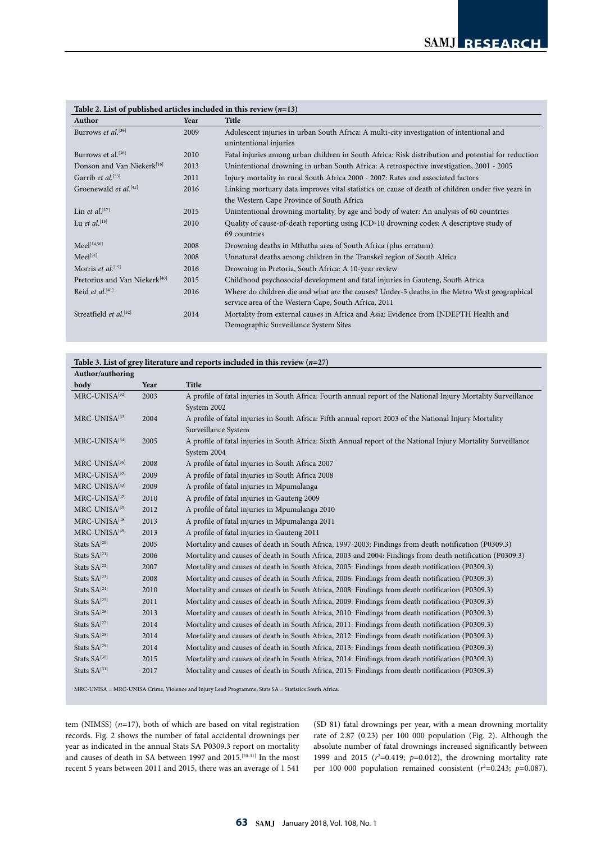| Table 2. Else of published at these included in this fevrew $(n-15)$<br>Author | Year | Title                                                                                              |  |  |  |
|--------------------------------------------------------------------------------|------|----------------------------------------------------------------------------------------------------|--|--|--|
| Burrows et al. $[39]$                                                          | 2009 | Adolescent injuries in urban South Africa: A multi-city investigation of intentional and           |  |  |  |
|                                                                                |      | unintentional injuries                                                                             |  |  |  |
| Burrows et al. <sup>[38]</sup><br>2010                                         |      | Fatal injuries among urban children in South Africa: Risk distribution and potential for reduction |  |  |  |
| Donson and Van Niekerk <sup>[16]</sup>                                         | 2013 | Unintentional drowning in urban South Africa: A retrospective investigation, 2001 - 2005           |  |  |  |
| Garrib et al. <sup>[53]</sup>                                                  | 2011 | Injury mortality in rural South Africa 2000 - 2007: Rates and associated factors                   |  |  |  |
| Groenewald et al. <sup>[42]</sup>                                              | 2016 | Linking mortuary data improves vital statistics on cause of death of children under five years in  |  |  |  |
|                                                                                |      | the Western Cape Province of South Africa                                                          |  |  |  |
| Lin et al. $[17]$                                                              | 2015 | Unintentional drowning mortality, by age and body of water: An analysis of 60 countries            |  |  |  |
| Lu et al. <sup>[13]</sup>                                                      | 2010 | Quality of cause-of-death reporting using ICD-10 drowning codes: A descriptive study of            |  |  |  |
|                                                                                |      | 69 countries                                                                                       |  |  |  |
| $Meel^{[14,50]}$                                                               | 2008 | Drowning deaths in Mthatha area of South Africa (plus erratum)                                     |  |  |  |
| Meel <sup>[51]</sup>                                                           | 2008 | Unnatural deaths among children in the Transkei region of South Africa                             |  |  |  |
| Morris et al. $[15]$                                                           | 2016 | Drowning in Pretoria, South Africa: A 10-year review                                               |  |  |  |
| Pretorius and Van Niekerk <sup>[40]</sup>                                      | 2015 | Childhood psychosocial development and fatal injuries in Gauteng, South Africa                     |  |  |  |
| Reid et al. $[41]$                                                             | 2016 | Where do children die and what are the causes? Under-5 deaths in the Metro West geographical       |  |  |  |
|                                                                                |      | service area of the Western Cape, South Africa, 2011                                               |  |  |  |
| Streatfield et al. <sup>[52]</sup>                                             | 2014 | Mortality from external causes in Africa and Asia: Evidence from INDEPTH Health and                |  |  |  |
|                                                                                |      | Demographic Surveillance System Sites                                                              |  |  |  |

# **Table 2. List of published articles included in this review (***n***=13)**

#### **Table 3. List of grey literature and reports included in this review (***n***=27)**

| Author/authoring         |      |                                                                                                                                |  |  |  |
|--------------------------|------|--------------------------------------------------------------------------------------------------------------------------------|--|--|--|
| body                     | Year | <b>Title</b>                                                                                                                   |  |  |  |
| MRC-UNISA[32]            | 2003 | A profile of fatal injuries in South Africa: Fourth annual report of the National Injury Mortality Surveillance<br>System 2002 |  |  |  |
| MRC-UNISA[33]            | 2004 | A profile of fatal injuries in South Africa: Fifth annual report 2003 of the National Injury Mortality<br>Surveillance System  |  |  |  |
| MRC-UNISA[34]            | 2005 | A profile of fatal injuries in South Africa: Sixth Annual report of the National Injury Mortality Surveillance<br>System 2004  |  |  |  |
| MRC-UNISA[36]            | 2008 | A profile of fatal injuries in South Africa 2007                                                                               |  |  |  |
| MRC-UNISA[37]            | 2009 | A profile of fatal injuries in South Africa 2008                                                                               |  |  |  |
| MRC-UNISA[43]            | 2009 | A profile of fatal injuries in Mpumalanga                                                                                      |  |  |  |
| MRC-UNISA[47]            | 2010 | A profile of fatal injuries in Gauteng 2009                                                                                    |  |  |  |
| MRC-UNISA[45]            | 2012 | A profile of fatal injuries in Mpumalanga 2010                                                                                 |  |  |  |
| MRC-UNISA[46]            | 2013 | A profile of fatal injuries in Mpumalanga 2011                                                                                 |  |  |  |
| MRC-UNISA[49]            | 2013 | A profile of fatal injuries in Gauteng 2011                                                                                    |  |  |  |
| Stats SA <sup>[20]</sup> | 2005 | Mortality and causes of death in South Africa, 1997-2003: Findings from death notification (P0309.3)                           |  |  |  |
| Stats $SA^{[21]}$        | 2006 | Mortality and causes of death in South Africa, 2003 and 2004: Findings from death notification (P0309.3)                       |  |  |  |
| Stats SA[22]             | 2007 | Mortality and causes of death in South Africa, 2005: Findings from death notification (P0309.3)                                |  |  |  |
| Stats SA[23]             | 2008 | Mortality and causes of death in South Africa, 2006: Findings from death notification (P0309.3)                                |  |  |  |
| Stats SA[24]             | 2010 | Mortality and causes of death in South Africa, 2008: Findings from death notification (P0309.3)                                |  |  |  |
| Stats $SA^{[25]}$        | 2011 | Mortality and causes of death in South Africa, 2009: Findings from death notification (P0309.3)                                |  |  |  |
| Stats SA[26]             | 2013 | Mortality and causes of death in South Africa, 2010: Findings from death notification (P0309.3)                                |  |  |  |
| Stats SA[27]             | 2014 | Mortality and causes of death in South Africa, 2011: Findings from death notification (P0309.3)                                |  |  |  |
| Stats SA[28]             | 2014 | Mortality and causes of death in South Africa, 2012: Findings from death notification (P0309.3)                                |  |  |  |
| Stats SA[29]             | 2014 | Mortality and causes of death in South Africa, 2013: Findings from death notification (P0309.3)                                |  |  |  |
| Stats SA[30]             | 2015 | Mortality and causes of death in South Africa, 2014: Findings from death notification (P0309.3)                                |  |  |  |
| Stats SA[31]             | 2017 | Mortality and causes of death in South Africa, 2015: Findings from death notification (P0309.3)                                |  |  |  |

MRC-UNISA = MRC-UNISA Crime, Violence and Injury Lead Programme; Stats SA = Statistics South Africa.

tem (NIMSS) (*n*=17), both of which are based on vital registration records. Fig. 2 shows the number of fatal accidental drownings per year as indicated in the annual Stats SA P0309.3 report on mortality and causes of death in SA between 1997 and 2015.[20-31] In the most recent 5 years between 2011 and 2015, there was an average of 1 541

(SD 81) fatal drownings per year, with a mean drowning mortality rate of 2.87 (0.23) per 100 000 population (Fig. 2). Although the absolute number of fatal drownings increased significantly between 1999 and 2015 ( $r^2$ =0.419;  $p$ =0.012), the drowning mortality rate per 100 000 population remained consistent  $(r^2=0.243; p=0.087)$ .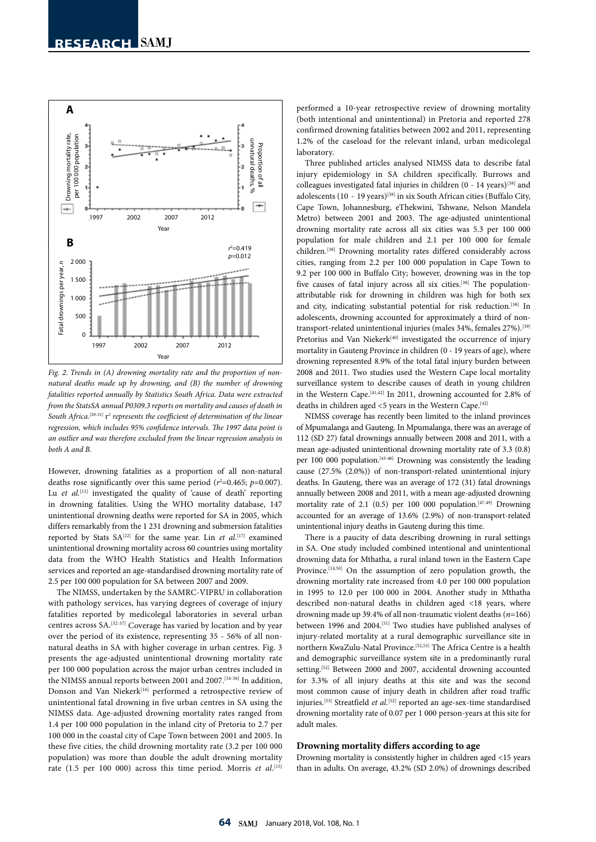

*Fig. 2. Trends in (A) drowning mortality rate and the proportion of nonnatural deaths made up by drowning, and (B) the number of drowning fatalities reported annually by Statistics South Africa. Data were extracted from the StatsSA annual P0309.3 reports on mortality and causes of death in*  South Africa.<sup>[20-31]</sup>  $r^2$  represents the coefficient of determination of the linear *regression, which includes 95% confidence intervals. The 1997 data point is an outlier and was therefore excluded from the linear regression analysis in both A and B.*

However, drowning fatalities as a proportion of all non-natural deaths rose significantly over this same period  $(r^2=0.465; p=0.007)$ . Lu *et al.*<sup>[13]</sup> investigated the quality of 'cause of death' reporting in drowning fatalities. Using the WHO mortality database, 147 unintentional drowning deaths were reported for SA in 2005, which differs remarkably from the 1 231 drowning and submersion fatalities reported by Stats  $SA^{[22]}$  for the same year. Lin *et al.*<sup>[17]</sup> examined unintentional drowning mortality across 60 countries using mortality data from the WHO Health Statistics and Health Information services and reported an age-standardised drowning mortality rate of 2.5 per 100 000 population for SA between 2007 and 2009.

The NIMSS, undertaken by the SAMRC-VIPRU in collaboration with pathology services, has varying degrees of coverage of injury fatalities reported by medicolegal laboratories in several urban centres across SA.[32-37] Coverage has varied by location and by year over the period of its existence, representing 35 - 56% of all nonnatural deaths in SA with higher coverage in urban centres. Fig. 3 presents the age-adjusted unintentional drowning mortality rate per 100 000 population across the major urban centres included in the NIMSS annual reports between 2001 and 2007.<sup>[34-36]</sup> In addition, Donson and Van Niekerk<sup>[16]</sup> performed a retrospective review of unintentional fatal drowning in five urban centres in SA using the NIMSS data. Age-adjusted drowning mortality rates ranged from 1.4 per 100 000 population in the inland city of Pretoria to 2.7 per 100 000 in the coastal city of Cape Town between 2001 and 2005. In these five cities, the child drowning mortality rate (3.2 per 100 000 population) was more than double the adult drowning mortality rate (1.5 per 100 000) across this time period. Morris et al.<sup>[15]</sup>

performed a 10-year retrospective review of drowning mortality (both intentional and unintentional) in Pretoria and reported 278 confirmed drowning fatalities between 2002 and 2011, representing 1.2% of the caseload for the relevant inland, urban medicolegal laboratory.

Three published articles analysed NIMSS data to describe fatal injury epidemiology in SA children specifically. Burrows and colleagues investigated fatal injuries in children  $(0 - 14 \text{ years})^{[38]}$  and adolescents (10 - 19 years)<sup>[39]</sup> in six South African cities (Buffalo City, Cape Town, Johannesburg, eThekwini, Tshwane, Nelson Mandela Metro) between 2001 and 2003. The age-adjusted unintentional drowning mortality rate across all six cities was 5.3 per 100 000 population for male children and 2.1 per 100 000 for female children.[38] Drowning mortality rates differed considerably across cities, ranging from 2.2 per 100 000 population in Cape Town to 9.2 per 100 000 in Buffalo City; however, drowning was in the top five causes of fatal injury across all six cities.<sup>[38]</sup> The populationattributable risk for drowning in children was high for both sex and city, indicating substantial potential for risk reduction.[38] In adolescents, drowning accounted for approximately a third of nontransport-related unintentional injuries (males 34%, females 27%).[39] Pretorius and Van Niekerk<sup>[40]</sup> investigated the occurrence of injury mortality in Gauteng Province in children (0 - 19 years of age), where drowning represented 8.9% of the total fatal injury burden between 2008 and 2011. Two studies used the Western Cape local mortality surveillance system to describe causes of death in young children in the Western Cape.<sup>[41,42]</sup> In 2011, drowning accounted for 2.8% of deaths in children aged <5 years in the Western Cape.<sup>[42]</sup>

NIMSS coverage has recently been limited to the inland provinces of Mpumalanga and Gauteng. In Mpumalanga, there was an average of 112 (SD 27) fatal drownings annually between 2008 and 2011, with a mean age-adjusted unintentional drowning mortality rate of 3.3 (0.8) per 100 000 population.[43-46] Drowning was consistently the leading cause (27.5% (2.0%)) of non-transport-related unintentional injury deaths. In Gauteng, there was an average of 172 (31) fatal drownings annually between 2008 and 2011, with a mean age-adjusted drowning mortality rate of 2.1 (0.5) per 100 000 population.<sup>[47-49]</sup> Drowning accounted for an average of 13.6% (2.9%) of non-transport-related unintentional injury deaths in Gauteng during this time.

There is a paucity of data describing drowning in rural settings in SA. One study included combined intentional and unintentional drowning data for Mthatha, a rural inland town in the Eastern Cape Province.<sup>[14,50]</sup> On the assumption of zero population growth, the drowning mortality rate increased from 4.0 per 100 000 population in 1995 to 12.0 per 100 000 in 2004. Another study in Mthatha described non-natural deaths in children aged <18 years, where drowning made up 39.4% of all non-traumatic violent deaths (*n*=166) between 1996 and 2004.[51] Two studies have published analyses of injury-related mortality at a rural demographic surveillance site in northern KwaZulu-Natal Province.[52,53] The Africa Centre is a health and demographic surveillance system site in a predominantly rural setting.<sup>[52]</sup> Between 2000 and 2007, accidental drowning accounted for 3.3% of all injury deaths at this site and was the second most common cause of injury death in children after road traffic injuries.[53] Streatfield *et al.*[52] reported an age-sex-time standardised drowning mortality rate of 0.07 per 1 000 person-years at this site for adult males.

#### **Drowning mortality differs according to age**

Drowning mortality is consistently higher in children aged <15 years than in adults. On average, 43.2% (SD 2.0%) of drownings described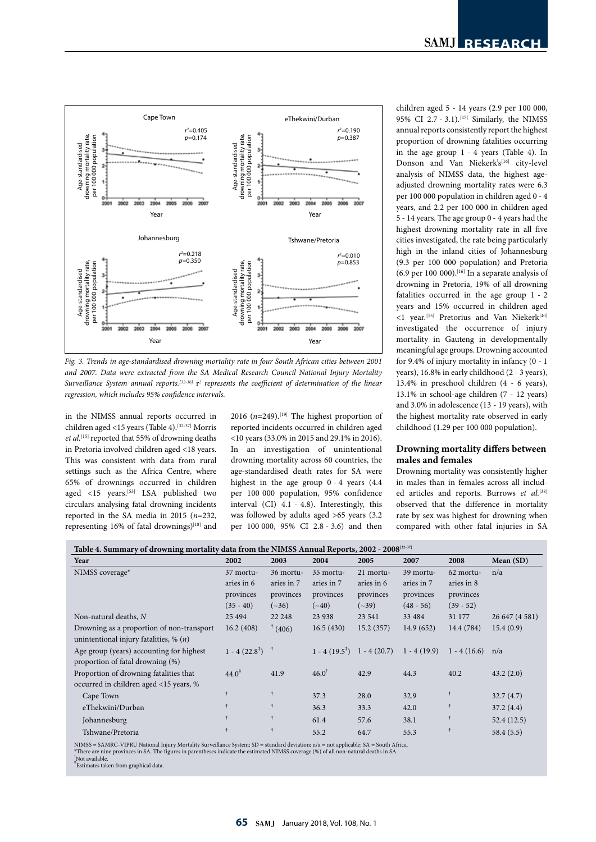

*Fig. 3. Trends in age-standardised drowning mortality rate in four South African cities between 2001 and 2007. Data were extracted from the SA Medical Research Council National Injury Mortality Surveillance System annual reports.<sup>[32.36]</sup>* r<sup>2</sup> represents the coefficient of determination of the linear *regression, which includes 95% confidence intervals.*

in the NIMSS annual reports occurred in children aged <15 years (Table 4).[32-37] Morris *et al.*[15] reported that 55% of drowning deaths in Pretoria involved children aged <18 years. This was consistent with data from rural settings such as the Africa Centre, where 65% of drownings occurred in children aged <15 years.<sup>[53]</sup> LSA published two circulars analysing fatal drowning incidents reported in the SA media in 2015 (*n*=232, representing 16% of fatal drownings)<sup>[18]</sup> and 2016 ( $n=249$ ).<sup>[19]</sup> The highest proportion of reported incidents occurred in children aged <10 years (33.0% in 2015 and 29.1% in 2016). In an investigation of unintentional drowning mortality across 60 countries, the age-standardised death rates for SA were highest in the age group 0 - 4 years (4.4 per 100 000 population, 95% confidence interval (CI) 4.1 - 4.8). Interestingly, this was followed by adults aged >65 years (3.2 per 100 000, 95% CI 2.8 - 3.6) and then children aged 5 - 14 years (2.9 per 100 000, 95% CI 2.7 - 3.1).[17] Similarly, the NIMSS annual reports consistently report the highest proportion of drowning fatalities occurring in the age group 1 - 4 years (Table 4). In Donson and Van Niekerk's[16] city-level analysis of NIMSS data, the highest ageadjusted drowning mortality rates were 6.3 per 100 000 population in children aged 0 - 4 years, and 2.2 per 100 000 in children aged 5 - 14 years. The age group 0 - 4 years had the highest drowning mortality rate in all five cities investigated, the rate being particularly high in the inland cities of Johannesburg (9.3 per 100 000 population) and Pretoria  $(6.9 \text{ per } 100 \text{ } 000)$ . [16] In a separate analysis of drowning in Pretoria, 19% of all drowning fatalities occurred in the age group 1 - 2 years and 15% occurred in children aged  $\leq$ 1 year.<sup>[15]</sup> Pretorius and Van Niekerk<sup>[40]</sup> investigated the occurrence of injury mortality in Gauteng in developmentally meaningful age groups. Drowning accounted for 9.4% of injury mortality in infancy (0 - 1 years), 16.8% in early childhood (2 - 3 years), 13.4% in preschool children (4 - 6 years), 13.1% in school-age children (7 - 12 years) and 3.0% in adolescence (13 - 19 years), with the highest mortality rate observed in early childhood (1.29 per 100 000 population).

# **Drowning mortality differs between males and females**

Drowning mortality was consistently higher in males than in females across all included articles and reports. Burrows et al.<sup>[38]</sup> observed that the difference in mortality rate by sex was highest for drowning when compared with other fatal injuries in SA

| Table 4. Summary of drowning mortality data from the NIMSS Annual Reports, 2002 - 2008[32-37] |                          |              |                  |                                                    |             |                   |                |
|-----------------------------------------------------------------------------------------------|--------------------------|--------------|------------------|----------------------------------------------------|-------------|-------------------|----------------|
| Year                                                                                          | 2002                     | 2003         | 2004             | 2005                                               | 2007        | 2008              | Mean (SD)      |
| NIMSS coverage*                                                                               | 37 mortu-                | 36 mortu-    | 35 mortu-        | 21 mortu-                                          | 39 mortu-   | 62 mortu-         | n/a            |
|                                                                                               | aries in 6               | aries in 7   | aries in 7       | aries in 6                                         | aries in 7  | aries in 8        |                |
|                                                                                               | provinces                | provinces    | provinces        | provinces                                          | provinces   | provinces         |                |
|                                                                                               | $(35 - 40)$              | $({\sim}36)$ | $({\sim}40)$     | $({\sim}39)$                                       | $(48 - 56)$ | $(39 - 52)$       |                |
| Non-natural deaths, $N$                                                                       | 25 4 94                  | 22 248       | 23 938           | 23 541                                             | 33 4 84     | 31 177            | 26 647 (4 581) |
| Drowning as a proportion of non-transport                                                     | 16.2(408)                | (406)        | 16.5(430)        | 15.2(357)                                          | 14.9(652)   | 14.4 (784)        | 15.4(0.9)      |
| unintentional injury fatalities, $\%$ ( <i>n</i> )                                            |                          |              |                  |                                                    |             |                   |                |
| Age group (years) accounting for highest                                                      | $1 - 4(22.8^{\ddagger})$ |              |                  | $1 - 4(19.5^{\text{T}})$ 1 - 4 (20.7) 1 - 4 (19.9) |             | $1 - 4(16.6)$ n/a |                |
| proportion of fatal drowning (%)                                                              |                          |              |                  |                                                    |             |                   |                |
| Proportion of drowning fatalities that                                                        | $44.0^{\ddagger}$        | 41.9         | $46.0^{\dagger}$ | 42.9                                               | 44.3        | 40.2              | 43.2(2.0)      |
| occurred in children aged <15 years, %                                                        |                          |              |                  |                                                    |             |                   |                |
| Cape Town                                                                                     |                          | ŧ            | 37.3             | 28.0                                               | 32.9        |                   | 32.7(4.7)      |
| eThekwini/Durban                                                                              |                          | $\dagger$    | 36.3             | 33.3                                               | 42.0        |                   | 37.2(4.4)      |
| Johannesburg                                                                                  |                          |              | 61.4             | 57.6                                               | 38.1        |                   | 52.4(12.5)     |
| Tshwane/Pretoria                                                                              | $\ddot{\tau}$            | Ť            | 55.2             | 64.7                                               | 55.3        |                   | 58.4(5.5)      |

NIMSS = SAMRC-VIPRU National Injury Mortality Surveillance System; SD = standard deviation; n/a = not applicable; SA = South Africa.<br>\*There are nine provinces in SA. The figures in parentheses indicate the estimated NIMSS

† Not available.

‡ Estimates taken from graphical data.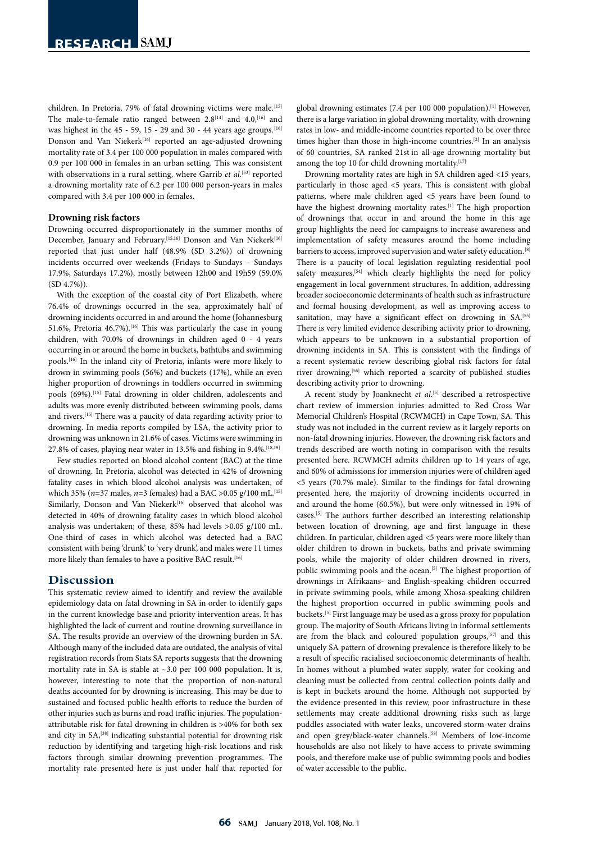children. In Pretoria, 79% of fatal drowning victims were male.<sup>[15]</sup> The male-to-female ratio ranged between  $2.8^{[14]}$  and  $4.0$ ,  $^{[16]}$  and was highest in the 45 - 59, 15 - 29 and 30 - 44 years age groups.<sup>[16]</sup> Donson and Van Niekerk<sup>[16]</sup> reported an age-adjusted drowning mortality rate of 3.4 per 100 000 population in males compared with 0.9 per 100 000 in females in an urban setting. This was consistent with observations in a rural setting, where Garrib *et al.*<sup>[53]</sup> reported a drowning mortality rate of 6.2 per 100 000 person-years in males compared with 3.4 per 100 000 in females.

#### **Drowning risk factors**

Drowning occurred disproportionately in the summer months of December, January and February.<sup>[15,16]</sup> Donson and Van Niekerk<sup>[16]</sup> reported that just under half (48.9% (SD 3.2%)) of drowning incidents occurred over weekends (Fridays to Sundays – Sundays 17.9%, Saturdays 17.2%), mostly between 12h00 and 19h59 (59.0%  $(SD 4.7%)$ .

With the exception of the coastal city of Port Elizabeth, where 76.4% of drownings occurred in the sea, approximately half of drowning incidents occurred in and around the home (Johannesburg 51.6%, Pretoria  $46.7\%$ ).<sup>[16]</sup> This was particularly the case in young children, with 70.0% of drownings in children aged 0 - 4 years occurring in or around the home in buckets, bathtubs and swimming pools.[16] In the inland city of Pretoria, infants were more likely to drown in swimming pools (56%) and buckets (17%), while an even higher proportion of drownings in toddlers occurred in swimming pools (69%).<sup>[15]</sup> Fatal drowning in older children, adolescents and adults was more evenly distributed between swimming pools, dams and rivers.[15] There was a paucity of data regarding activity prior to drowning. In media reports compiled by LSA, the activity prior to drowning was unknown in 21.6% of cases. Victims were swimming in 27.8% of cases, playing near water in 13.5% and fishing in 9.4%.<sup>[18,19]</sup>

Few studies reported on blood alcohol content (BAC) at the time of drowning. In Pretoria, alcohol was detected in 42% of drowning fatality cases in which blood alcohol analysis was undertaken, of which 35% (*n*=37 males, *n*=3 females) had a BAC >0.05 g/100 mL.<sup>[15]</sup> Similarly, Donson and Van Niekerk<sup>[16]</sup> observed that alcohol was detected in 40% of drowning fatality cases in which blood alcohol analysis was undertaken; of these, 85% had levels >0.05 g/100 mL. One-third of cases in which alcohol was detected had a BAC consistent with being 'drunk' to 'very drunk', and males were 11 times more likely than females to have a positive BAC result.  $^{\left[ 16\right] }$ 

#### **Discussion**

This systematic review aimed to identify and review the available epidemiology data on fatal drowning in SA in order to identify gaps in the current knowledge base and priority intervention areas. It has highlighted the lack of current and routine drowning surveillance in SA. The results provide an overview of the drowning burden in SA. Although many of the included data are outdated, the analysis of vital registration records from Stats SA reports suggests that the drowning mortality rate in SA is stable at ~3.0 per 100 000 population. It is, however, interesting to note that the proportion of non-natural deaths accounted for by drowning is increasing. This may be due to sustained and focused public health efforts to reduce the burden of other injuries such as burns and road traffic injuries. The populationattributable risk for fatal drowning in children is >40% for both sex and city in SA,<sup>[38]</sup> indicating substantial potential for drowning risk reduction by identifying and targeting high-risk locations and risk factors through similar drowning prevention programmes. The mortality rate presented here is just under half that reported for

global drowning estimates (7.4 per 100 000 population).[1] However, there is a large variation in global drowning mortality, with drowning rates in low- and middle-income countries reported to be over three times higher than those in high-income countries.[2] In an analysis of 60 countries, SA ranked 21st in all-age drowning mortality but among the top 10 for child drowning mortality.<sup>[17]</sup>

Drowning mortality rates are high in SA children aged <15 years, particularly in those aged <5 years. This is consistent with global patterns, where male children aged <5 years have been found to have the highest drowning mortality rates.<sup>[1]</sup> The high proportion of drownings that occur in and around the home in this age group highlights the need for campaigns to increase awareness and implementation of safety measures around the home including barriers to access, improved supervision and water safety education.<sup>[8]</sup> There is a paucity of local legislation regulating residential pool safety measures,<sup>[54]</sup> which clearly highlights the need for policy engagement in local government structures. In addition, addressing broader socioeconomic determinants of health such as infrastructure and formal housing development, as well as improving access to sanitation, may have a significant effect on drowning in SA.<sup>[55]</sup> There is very limited evidence describing activity prior to drowning, which appears to be unknown in a substantial proportion of drowning incidents in SA. This is consistent with the findings of a recent systematic review describing global risk factors for fatal river drowning,<sup>[56]</sup> which reported a scarcity of published studies describing activity prior to drowning.

A recent study by Joanknecht et al.<sup>[5]</sup> described a retrospective chart review of immersion injuries admitted to Red Cross War Memorial Children's Hospital (RCWMCH) in Cape Town, SA. This study was not included in the current review as it largely reports on non-fatal drowning injuries. However, the drowning risk factors and trends described are worth noting in comparison with the results presented here. RCWMCH admits children up to 14 years of age, and 60% of admissions for immersion injuries were of children aged <5 years (70.7% male). Similar to the findings for fatal drowning presented here, the majority of drowning incidents occurred in and around the home (60.5%), but were only witnessed in 19% of cases.[5] The authors further described an interesting relationship between location of drowning, age and first language in these children. In particular, children aged <5 years were more likely than older children to drown in buckets, baths and private swimming pools, while the majority of older children drowned in rivers, public swimming pools and the ocean.<sup>[5]</sup> The highest proportion of drownings in Afrikaans- and English-speaking children occurred in private swimming pools, while among Xhosa-speaking children the highest proportion occurred in public swimming pools and buckets.[5] First language may be used as a gross proxy for population group. The majority of South Africans living in informal settlements are from the black and coloured population groups,<sup>[57]</sup> and this uniquely SA pattern of drowning prevalence is therefore likely to be a result of specific racialised socioeconomic determinants of health. In homes without a plumbed water supply, water for cooking and cleaning must be collected from central collection points daily and is kept in buckets around the home. Although not supported by the evidence presented in this review, poor infrastructure in these settlements may create additional drowning risks such as large puddles associated with water leaks, uncovered storm-water drains and open grey/black-water channels.[58] Members of low-income households are also not likely to have access to private swimming pools, and therefore make use of public swimming pools and bodies of water accessible to the public.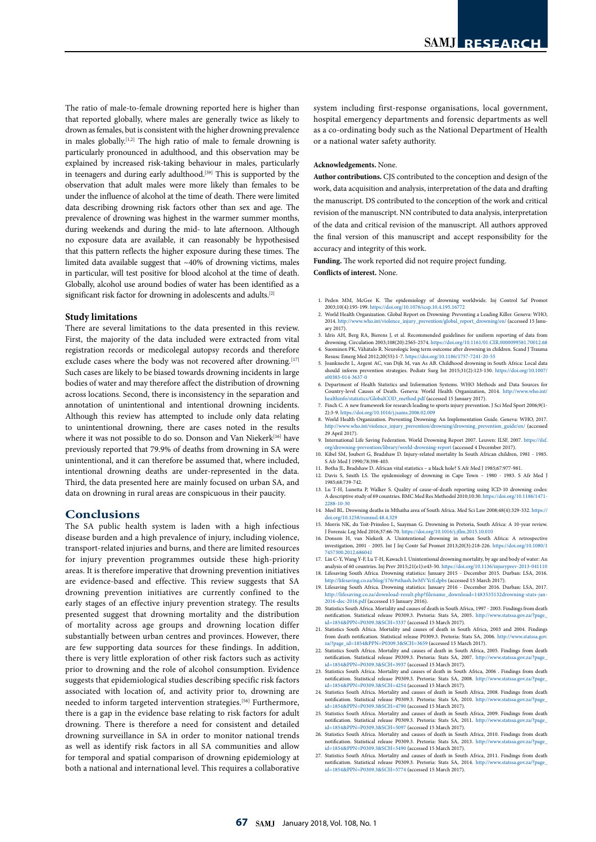The ratio of male-to-female drowning reported here is higher than that reported globally, where males are generally twice as likely to drown as females, but is consistent with the higher drowning prevalence in males globally.[1,2] The high ratio of male to female drowning is particularly pronounced in adulthood, and this observation may be explained by increased risk-taking behaviour in males, particularly in teenagers and during early adulthood.<sup>[59]</sup> This is supported by the observation that adult males were more likely than females to be under the influence of alcohol at the time of death. There were limited data describing drowning risk factors other than sex and age. The prevalence of drowning was highest in the warmer summer months, during weekends and during the mid- to late afternoon. Although no exposure data are available, it can reasonably be hypothesised that this pattern reflects the higher exposure during these times. The limited data available suggest that ~40% of drowning victims, males in particular, will test positive for blood alcohol at the time of death. Globally, alcohol use around bodies of water has been identified as a significant risk factor for drowning in adolescents and adults.<sup>[2]</sup>

#### **Study limitations**

There are several limitations to the data presented in this review. First, the majority of the data included were extracted from vital registration records or medicolegal autopsy records and therefore exclude cases where the body was not recovered after drowning.<sup>[17]</sup> Such cases are likely to be biased towards drowning incidents in large bodies of water and may therefore affect the distribution of drowning across locations. Second, there is inconsistency in the separation and annotation of unintentional and intentional drowning incidents. Although this review has attempted to include only data relating to unintentional drowning, there are cases noted in the results where it was not possible to do so. Donson and Van Niekerk<sup>[16]</sup> have previously reported that 79.9% of deaths from drowning in SA were unintentional, and it can therefore be assumed that, where included, intentional drowning deaths are under-represented in the data. Third, the data presented here are mainly focused on urban SA, and data on drowning in rural areas are conspicuous in their paucity.

# **Conclusions**

The SA public health system is laden with a high infectious disease burden and a high prevalence of injury, including violence, transport-related injuries and burns, and there are limited resources for injury prevention programmes outside these high-priority areas. It is therefore imperative that drowning prevention initiatives are evidence-based and effective. This review suggests that SA drowning prevention initiatives are currently confined to the early stages of an effective injury prevention strategy. The results presented suggest that drowning mortality and the distribution of mortality across age groups and drowning location differ substantially between urban centres and provinces. However, there are few supporting data sources for these findings. In addition, there is very little exploration of other risk factors such as activity prior to drowning and the role of alcohol consumption. Evidence suggests that epidemiological studies describing specific risk factors associated with location of, and activity prior to, drowning are needed to inform targeted intervention strategies.[56] Furthermore, there is a gap in the evidence base relating to risk factors for adult drowning. There is therefore a need for consistent and detailed drowning surveillance in SA in order to monitor national trends as well as identify risk factors in all SA communities and allow for temporal and spatial comparison of drowning epidemiology at both a national and international level. This requires a collaborative

system including first-response organisations, local government, hospital emergency departments and forensic departments as well as a co-ordinating body such as the National Department of Health or a national water safety authority.

#### **Acknowledgements.** None.

**Author contributions.** CJS contributed to the conception and design of the work, data acquisition and analysis, interpretation of the data and drafting the manuscript. DS contributed to the conception of the work and critical revision of the manuscript. NN contributed to data analysis, interpretation of the data and critical revision of the manuscript. All authors approved the final version of this manuscript and accept responsibility for the accuracy and integrity of this work.

**Funding.** The work reported did not require project funding. **Conflicts of interest.** None.

- 1. Peden MM, McGee K. The epidemiology of drowning worldwide. Inj Control Saf Promot 2003;10(4):195-199. https://doi.org/10.1076/icsp.10.4.195.16772
- 2. World Health Organization. Global Report on Drowning: Preventing a Leading Killer. Geneva: WHO, 2014. [http://www.who.int/violence\\_injury\\_prevention/global\\_report\\_drowning/en/](http://www.who.int/violence_injury_prevention/global_report_drowning/en/) (accessed 15 January 2017).
- 3. Idris AH, Berg RA, Bierens J, et al. Recommended guidelines for uniform reporting of data from drowning. Circulation 2003;108(20):2565-2574. https://doi.org/10.1161/01.CIR.0000099581.70012.68 4. Suominen PK, Vähätalo R. Neurologic long term outcome after drowning in children. Scand J Trauma<br>4. Suominen PK, Vähätalo R. Neurologic long term outcome after drowning in children. Scand J Trauma
- Resusc Emerg Med 2012;20(55):1-7.<https://doi.org/10.1186/1757-7241-20-55> 5. Joanknecht L, Argent AC, van Dijk M, van As AB. Childhood drowning in South Africa: Local data should inform prevention strategies. Pediatr Surg Int 2015;31(2):123-130. [https://doi.org/10.1007/](https://doi.org/10.1007/s00383-014-3637-0 ) [s00383-014-3637-0](https://doi.org/10.1007/s00383-014-3637-0 )
- 6. Department of Health Statistics and Information Systems. WHO Methods and Data Sources for Country-level Causes of Death. Geneva: World Health Organization, 2014. [http://www.who.int/](http://www.who.int/healthinfo/statistics/GlobalCOD_method.pdf) [healthinfo/statistics/GlobalCOD\\_method.pdf](http://www.who.int/healthinfo/statistics/GlobalCOD_method.pdf) (accessed 15 January 2017).
- 7. Finch C. A new framework for research leading to sports injury prevention. J Sci Med Sport 2006;9(1- 2):3-9. https://doi.org/10.1016/j.jsams.2006.02.009
- 8. World Health Organization. Preventing Drowning: An Implementation Guide. Geneva: WHO, 2017. http://www.who.int/violence\_injury\_prevention/drowning/drowning\_prevention\_guide/en/ (accessed 29 April 2017).
- 9. International Life Saving Federation. World Drowning Report 2007. Leuven: ILSF, 2007. [https://ilsf.](https://ilsf.org/drowning-prevention/library/world-drowning-report) [org/drowning-prevention/library/world-drowning-report](https://ilsf.org/drowning-prevention/library/world-drowning-report) (accessed 4 December 2017).
- 10. Kibel SM, Joubert G, Bradshaw D. Injury-related mortality In South African children, 1981 1985. S Afr Med J 1990;78:398-403.
- 11. Botha JL, Bradshaw D. African vital statistics a black hole? S Afr Med J 1985;67:977-981.
- 12. Davis S, Smith LS. The epidemiology of drowning in Cape Town 1980 1983. S Afr Med J 1985;68:739-742.
- 13. Lu T-H, Lunetta P, Walker S. Quality of cause-of-death reporting using ICD-10 drowning codes: A descriptive study of 69 countries. BMC Med Res Methodol 2010;10:30. [https://doi.org/10.1186/1471-](https://doi.org/10.1186/1471-2288-10-30 ) [2288-10-30](https://doi.org/10.1186/1471-2288-10-30 )
- 14. Meel BL. Drowning deaths in Mthatha area of South Africa. Med Sci Law 2008;48(4):329-332. [https://](https://doi.org/10.1258/rsmmsl.48.4.329 ) [doi.org/10.1258/rsmmsl.48.4.329](https://doi.org/10.1258/rsmmsl.48.4.329 )
- 15. Morris NK, du Toit-Prinsloo L, Saayman G. Drowning in Pretoria, South Africa: A 10-year review. J Forensic Leg Med 2016;37:66-70. https://doi.org/10.1016/j.jflm.2015.10.010
- 16. Donson H, van Niekerk A. Unintentional drowning i investigation, 2001 - 2005. Int J Inj Contr Saf Promot 2013;20(3):218-226. [https://doi.org/10.1080/1](https://doi.org/10.1080/17457300.2012.686041 ) [7457300.2012.686041](https://doi.org/10.1080/17457300.2012.686041 )
- 17. Lin C-Y, Wang Y-F, Lu T-H, Kawach I. Unintentional drowning mortality, by age and body of water: An analysis of 60 countries. Inj Prev 2015;21(e1):e43-50. [https://doi.org/10.1136/injuryprev-2013-041110](https://doi.org/10.1136/injuryprev-2013-041110 ) 18. Lifesaving South Africa. Drowning statistics: January 2015 - December 2015. Durban: LSA, 2016.
- <http://lifesaving.co.za/blog/176/#sthash.IwMVYctl.dpbs> (accessed 15 March 2017). 19. Lifesaving South Africa. Drowning statistics: January 2016 - December 2016. Durban: LSA, 2017. [http://lifesaving.co.za/download-result.php?filename\\_download=1483535132drowning-stats-jan-](http://lifesaving.co.za/download-result.php?filename_download=1483535132drowning-stats-jan-2016-dec-2016.pdf)
- [2016-dec-2016.pdf](http://lifesaving.co.za/download-result.php?filename_download=1483535132drowning-stats-jan-2016-dec-2016.pdf) (accessed 15 January 2016). 20. Statistics South Africa. Mortality and causes of death in South Africa, 1997 - 2003. Findings from death notification. Statistical release P0309.3. Pretoria: Stats SA, 2005. [http://www.statssa.gov.za/?page\\_](http://www.statssa.gov.za/?page_id=1854&PPN=P0309.3&SCH=3337) [id=1854&PPN=P0309.3&SCH=3337](http://www.statssa.gov.za/?page_id=1854&PPN=P0309.3&SCH=3337) (accessed 15 March 2017).
- 21. Statistics South Africa. Mortality and causes of death in South Africa, 2003 and 2004. Findings from death notification. Statistical release P0309.3. Pretoria: Stats SA, 2006. [http://www.statssa.gov.](http://www.statssa.gov.za/?page_id=1854&PPN=P0309.3&SCH=3659) [za/?page\\_id=1854&PPN=P0309.3&SCH=3659](http://www.statssa.gov.za/?page_id=1854&PPN=P0309.3&SCH=3659) (accessed 15 March 2017).
- 22. Statistics South Africa. Mortality and causes of death in South Africa, 2005. Findings from death notification. Statistical release P0309.3. Pretoria: Stats SA, 2007. [http://www.statssa.gov.za/?page\\_](http://www.statssa.gov.za/?page_id=1854&PPN=P0309.3&SCH=3937) [id=1854&PPN=P0309.3&SCH=3937](http://www.statssa.gov.za/?page_id=1854&PPN=P0309.3&SCH=3937) (accessed 15 March 2017).
- 23. Statistics South Africa. Mortality and causes of death in South Africa, 2006 . Findings from death notification. Statistical release P0309.3. Pretoria: Stats SA, 2008. [http://www.statssa.gov.za/?page\\_](http://www.statssa.gov.za/?page_id=1854&PPN=P0309.3&SCH=4254) [id=1854&PPN=P0309.3&SCH=4254](http://www.statssa.gov.za/?page_id=1854&PPN=P0309.3&SCH=4254) (accessed 15 March 2017).
- 24. Statistics South Africa. Mortality and causes of death in South Africa, 2008. Findings from death notification. Statistical release P0309.3. Pretoria: Stats SA, 2010. [http://www.statssa.gov.za/?page\\_](http://www.statssa.gov.za/?page_id=1854&PPN=P0309.3&SCH=4790) [id=1854&PPN=P0309.3&SCH=4790](http://www.statssa.gov.za/?page_id=1854&PPN=P0309.3&SCH=4790) (accessed 15 March 2017).
- 25. Statistics South Africa. Mortality and causes of death in South Africa, 2009. Findings from death notification. Statistical release P0309.3. Pretoria: Stats SA, 2011. [http://www.statssa.gov.za/?page\\_](http://www.statssa.gov.za/?page_id=1854&PPN=P0309.3&SCH=5097 ) [id=1854&PPN=P0309.3&SCH=5097 \(](http://www.statssa.gov.za/?page_id=1854&PPN=P0309.3&SCH=5097 )accessed 15 March 2017).
- 26. Statistics South Africa. Mortality and causes of death in South Africa, 2010. Findings from death notification. Statistical release P0309.3. Pretoria: Stats SA, 2013. [http://www.statssa.gov.za/?page\\_](http://www.statssa.gov.za/?page_id=1854&PPN=P0309.3&SCH=5490) [id=1854&PPN=P0309.3&SCH=5490](http://www.statssa.gov.za/?page_id=1854&PPN=P0309.3&SCH=5490) (accessed 15 March 2017).
- 27. Statistics South Africa. Mortality and causes of death in South Africa, 2011. Findings from death notification. Statistical release P0309.3. Pretoria: Stats SA, 2014. [http://www.statssa.gov.za/?page\\_](http://www.statssa.gov.za/?page_id=1854&PPN=P0309.3&SCH=5774) [id=1854&PPN=P0309.3&SCH=5774](http://www.statssa.gov.za/?page_id=1854&PPN=P0309.3&SCH=5774) (accessed 15 March 2017).